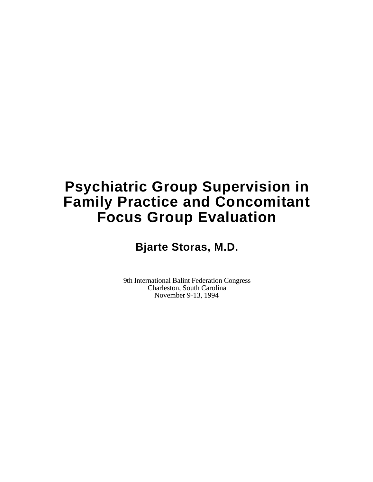# **Psychiatric Group Supervision in Family Practice and Concomitant Focus Group Evaluation**

**Bjarte Storas, M.D.**

9th International Balint Federation Congress Charleston, South Carolina November 9-13, 1994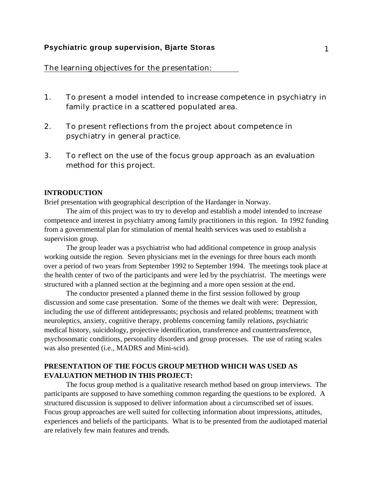#### **Psychiatric group supervision, Bjarte Storas** 1

The learning objectives for the presentation:

- 1. To present a model intended to increase competence in psychiatry in family practice in a scattered populated area.
- 2. To present reflections from the project about competence in psychiatry in general practice.
- 3. To reflect on the use of the focus group approach as an evaluation method for this project.

#### **INTRODUCTION**

Brief presentation with geographical description of the Hardanger in Norway.

The aim of this project was to try to develop and establish a model intended to increase competence and interest in psychiatry among family practitioners in this region. In 1992 funding from a governmental plan for stimulation of mental health services was used to establish a supervision group.

The group leader was a psychiatrist who had additional competence in group analysis working outside the region. Seven physicians met in the evenings for three hours each month over a period of two years from September 1992 to September 1994. The meetings took place at the health center of two of the participants and were led by the psychiatrist. The meetings were structured with a planned section at the beginning and a more open session at the end.

The conductor presented a planned theme in the first session followed by group discussion and some case presentation. Some of the themes we dealt with were: Depression, including the use of different antidepressants; psychosis and related problems; treatment with neuroleptics, anxiety, cognitive therapy, problems concerning family relations, psychiatric medical history, suicidology, projective identification, transference and countertransference, psychosomatic conditions, personality disorders and group processes. The use of rating scales was also presented (i.e., MADRS and Mini-scid).

#### **PRESENTATION OF THE FOCUS GROUP METHOD WHICH WAS USED AS EVALUATION METHOD IN THIS PROJECT:**

The focus group method is a qualitative research method based on group interviews. The participants are supposed to have something common regarding the questions to be explored. A structured discussion is supposed to deliver information about a circumscribed set of issues. Focus group approaches are well suited for collecting information about impressions, attitudes, experiences and beliefs of the participants. What is to be presented from the audiotaped material are relatively few main features and trends.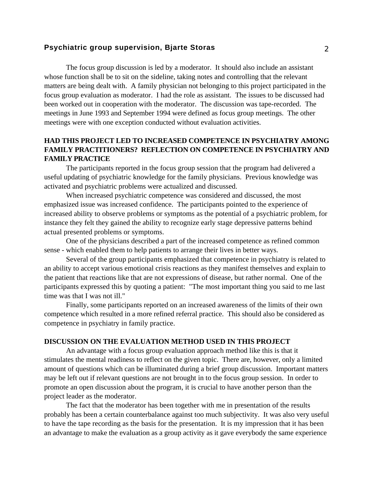#### **Psychiatric group supervision, Bjarte Storas** 2 2

The focus group discussion is led by a moderator. It should also include an assistant whose function shall be to sit on the sideline, taking notes and controlling that the relevant matters are being dealt with. A family physician not belonging to this project participated in the focus group evaluation as moderator. I had the role as assistant. The issues to be discussed had been worked out in cooperation with the moderator. The discussion was tape-recorded. The meetings in June 1993 and September 1994 were defined as focus group meetings. The other meetings were with one exception conducted without evaluation activities.

### **HAD THIS PROJECT LED TO INCREASED COMPETENCE IN PSYCHIATRY AMONG FAMILY PRACTITIONERS? REFLECTION ON COMPETENCE IN PSYCHIATRY AND FAMILY PRACTICE**

The participants reported in the focus group session that the program had delivered a useful updating of psychiatric knowledge for the family physicians. Previous knowledge was activated and psychiatric problems were actualized and discussed.

When increased psychiatric competence was considered and discussed, the most emphasized issue was increased confidence. The participants pointed to the experience of increased ability to observe problems or symptoms as the potential of a psychiatric problem, for instance they felt they gained the ability to recognize early stage depressive patterns behind actual presented problems or symptoms.

One of the physicians described a part of the increased competence as refined common sense - which enabled them to help patients to arrange their lives in better ways.

Several of the group participants emphasized that competence in psychiatry is related to an ability to accept various emotional crisis reactions as they manifest themselves and explain to the patient that reactions like that are not expressions of disease, but rather normal. One of the participants expressed this by quoting a patient: "The most important thing you said to me last time was that I was not ill."

Finally, some participants reported on an increased awareness of the limits of their own competence which resulted in a more refined referral practice. This should also be considered as competence in psychiatry in family practice.

#### **DISCUSSION ON THE EVALUATION METHOD USED IN THIS PROJECT**

An advantage with a focus group evaluation approach method like this is that it stimulates the mental readiness to reflect on the given topic. There are, however, only a limited amount of questions which can be illuminated during a brief group discussion. Important matters may be left out if relevant questions are not brought in to the focus group session. In order to promote an open discussion about the program, it is crucial to have another person than the project leader as the moderator.

The fact that the moderator has been together with me in presentation of the results probably has been a certain counterbalance against too much subjectivity. It was also very useful to have the tape recording as the basis for the presentation. It is my impression that it has been an advantage to make the evaluation as a group activity as it gave everybody the same experience